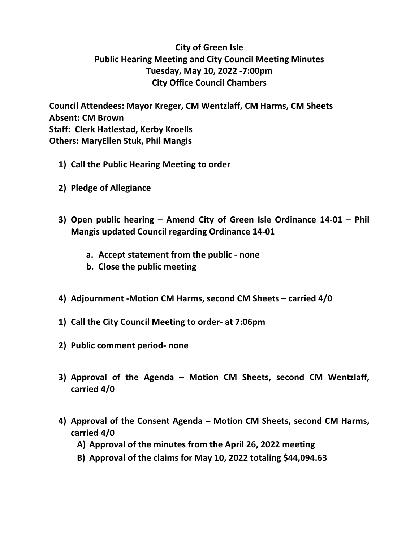## **City of Green Isle Public Hearing Meeting and City Council Meeting Minutes Tuesday, May 10, 2022 -7:00pm City Office Council Chambers**

**Council Attendees: Mayor Kreger, CM Wentzlaff, CM Harms, CM Sheets Absent: CM Brown Staff: Clerk Hatlestad, Kerby Kroells Others: MaryEllen Stuk, Phil Mangis**

- **1) Call the Public Hearing Meeting to order**
- **2) Pledge of Allegiance**
- **3) Open public hearing Amend City of Green Isle Ordinance 14-01 Phil Mangis updated Council regarding Ordinance 14-01**
	- **a. Accept statement from the public none**
	- **b. Close the public meeting**
- **4) Adjournment -Motion CM Harms, second CM Sheets carried 4/0**
- **1) Call the City Council Meeting to order- at 7:06pm**
- **2) Public comment period- none**
- **3) Approval of the Agenda Motion CM Sheets, second CM Wentzlaff, carried 4/0**
- **4) Approval of the Consent Agenda Motion CM Sheets, second CM Harms, carried 4/0**
	- **A) Approval of the minutes from the April 26, 2022 meeting**
	- **B) Approval of the claims for May 10, 2022 totaling \$44,094.63**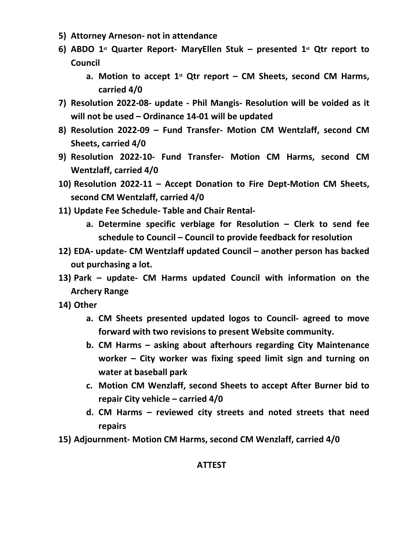- **5) Attorney Arneson- not in attendance**
- **6) ABDO 1st Quarter Report- MaryEllen Stuk presented 1st Qtr report to Council**
	- **a. Motion to accept 1st Qtr report CM Sheets, second CM Harms, carried 4/0**
- **7) Resolution 2022-08- update Phil Mangis- Resolution will be voided as it will not be used – Ordinance 14-01 will be updated**
- **8) Resolution 2022-09 Fund Transfer- Motion CM Wentzlaff, second CM Sheets, carried 4/0**
- **9) Resolution 2022-10- Fund Transfer- Motion CM Harms, second CM Wentzlaff, carried 4/0**
- **10) Resolution 2022-11 Accept Donation to Fire Dept-Motion CM Sheets, second CM Wentzlaff, carried 4/0**
- **11) Update Fee Schedule- Table and Chair Rental**
	- **a. Determine specific verbiage for Resolution Clerk to send fee schedule to Council – Council to provide feedback for resolution**
- **12) EDA- update- CM Wentzlaff updated Council another person has backed out purchasing a lot.**
- **13) Park update- CM Harms updated Council with information on the Archery Range**
- **14) Other**
	- **a. CM Sheets presented updated logos to Council- agreed to move forward with two revisions to present Website community.**
	- **b. CM Harms asking about afterhours regarding City Maintenance worker – City worker was fixing speed limit sign and turning on water at baseball park**
	- **c. Motion CM Wenzlaff, second Sheets to accept After Burner bid to repair City vehicle – carried 4/0**
	- **d. CM Harms reviewed city streets and noted streets that need repairs**
- **15) Adjournment- Motion CM Harms, second CM Wenzlaff, carried 4/0**

## **ATTEST**